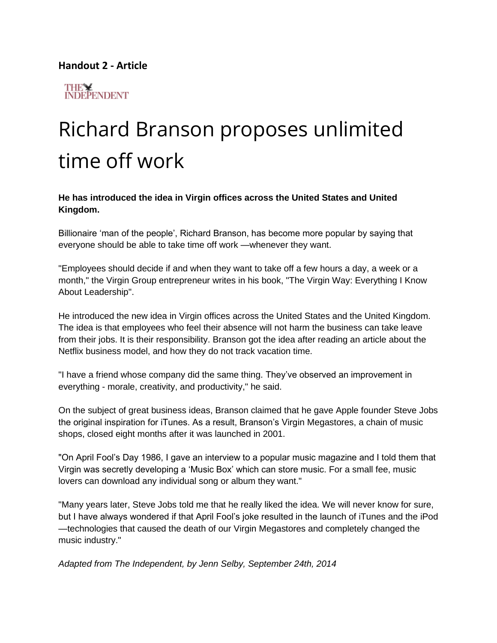## **Handout 2 - Article**



## Richard Branson proposes unlimited time off work

**He has introduced the idea in Virgin offices across the United States and United Kingdom.** 

Billionaire 'man of the people', Richard Branson, has become more popular by saying that everyone should be able to take time off work —whenever they want.

"Employees should decide if and when they want to take off a few hours a day, a week or a month," the Virgin Group entrepreneur writes in his book, "The Virgin Way: Everything I Know About Leadership".

He introduced the new idea in Virgin offices across the United States and the United Kingdom. The idea is that employees who feel their absence will not harm the business can take leave from their jobs. It is their responsibility. Branson got the idea after reading an article about the Netflix business model, and how they do not track vacation time.

"I have a friend whose company did the same thing. They've observed an improvement in everything - morale, creativity, and productivity," he said.

On the subject of great business ideas, Branson claimed that he gave Apple founder Steve Jobs the original inspiration for iTunes. As a result, Branson's Virgin Megastores, a chain of music shops, closed eight months after it was launched in 2001.

"On April Fool's Day 1986, I gave an interview to a popular music magazine and I told them that Virgin was secretly developing a 'Music Box' which can store music. For a small fee, music lovers can download any individual song or album they want."

"Many years later, Steve Jobs told me that he really liked the idea. We will never know for sure, but I have always wondered if that April Fool's joke resulted in the launch of iTunes and the iPod —technologies that caused the death of our Virgin Megastores and completely changed the music industry."

*Adapted from The Independent, by Jenn Selby, September 24th, 2014*